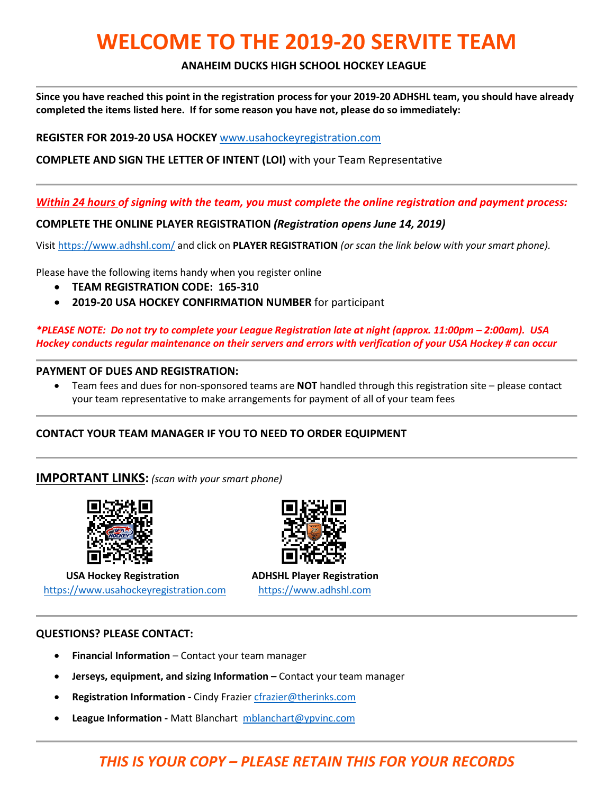# **WELCOME TO THE 2019-20 SERVITE TEAM**

### **ANAHEIM DUCKS HIGH SCHOOL HOCKEY LEAGUE**

**Since you have reached this point in the registration process for your 2019-20 ADHSHL team, you should have already completed the items listed here. If for some reason you have not, please do so immediately:**

**REGISTER FOR 2019-20 USA HOCKEY** [www.usahockeyregistration.com](http://www.usahockeyregistration.com/)

**COMPLETE AND SIGN THE LETTER OF INTENT (LOI)** with your Team Representative

*Within 24 hours of signing with the team, you must complete the online registration and payment process:*

**COMPLETE THE ONLINE PLAYER REGISTRATION** *(Registration opens June 14, 2019)*

Visit<https://www.adhshl.com/> and click on **PLAYER REGISTRATION** *(or scan the link below with your smart phone).*

Please have the following items handy when you register online

- **TEAM REGISTRATION CODE: 165-310**
- **2019-20 USA HOCKEY CONFIRMATION NUMBER** for participant

*\*PLEASE NOTE: Do not try to complete your League Registration late at night (approx. 11:00pm – 2:00am). USA Hockey conducts regular maintenance on their servers and errors with verification of your USA Hockey # can occur*

#### **PAYMENT OF DUES AND REGISTRATION:**

• Team fees and dues for non-sponsored teams are **NOT** handled through this registration site – please contact your team representative to make arrangements for payment of all of your team fees

# **CONTACT YOUR TEAM MANAGER IF YOU TO NEED TO ORDER EQUIPMENT**

# **IMPORTANT LINKS:** *(scan with your smart phone)*



 **USA Hockey Registration ADHSHL Player Registration** [https://www.usahockeyregistration.com](https://www.usahockeyregistration.com/) [https://www.adhshl.com](https://www.adhshl.com/) 



#### **QUESTIONS? PLEASE CONTACT:**

- **Financial Information** Contact your team manager
- **Jerseys, equipment, and sizing Information –** Contact your team manager
- **Registration Information Cindy Frazie[r cfrazier@therinks.com](mailto:cfrazier@therinks.com)**
- **League Information -** Matt Blanchart [mblanchart@ypvinc.com](mailto:mblanchart@ypvinc.com)

# *THIS IS YOUR COPY – PLEASE RETAIN THIS FOR YOUR RECORDS*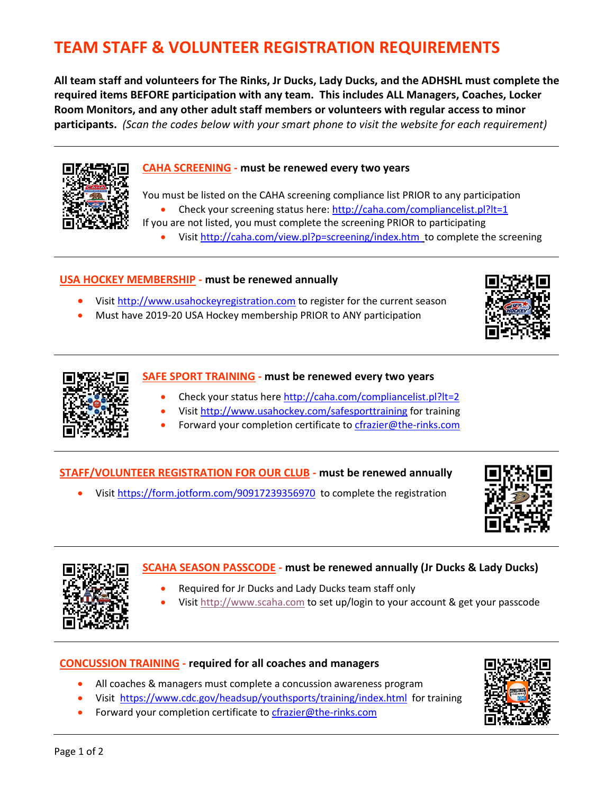# **TEAM STAFF & VOLUNTEER REGISTRATION REQUIREMENTS**

**All team staff and volunteers for The Rinks, Jr Ducks, Lady Ducks, and the ADHSHL must complete the required items BEFORE participation with any team. This includes ALL Managers, Coaches, Locker Room Monitors, and any other adult staff members or volunteers with regular access to minor participants.** *(Scan the codes below with your smart phone to visit the website for each requirement)*



#### **CAHA SCREENING - must be renewed every two years**

You must be listed on the CAHA screening compliance list PRIOR to any participation

- Check your screening status here: <http://caha.com/compliancelist.pl?lt=1>
- If you are not listed, you must complete the screening PRIOR to participating
	- Visit<http://caha.com/view.pl?p=screening/index.htm>to complete the screening

#### **USA HOCKEY MEMBERSHIP - must be renewed annually**

- Visit [http://www.usahockeyregistration.com](http://www.usahockeyregistration.com/) to register for the current season
- Must have 2019-20 USA Hockey membership PRIOR to ANY participation





#### **SAFE SPORT TRAINING - must be renewed every two years**

- Check your status here<http://caha.com/compliancelist.pl?lt=2>
- Visit<http://www.usahockey.com/safesporttraining> for training
	- Forward your completion certificate to [cfrazier@the-rinks.com](mailto:cfrazier@the-rinks.com)

#### **STAFF/VOLUNTEER REGISTRATION FOR OUR CLUB - must be renewed annually**

• Visit<https://form.jotform.com/90917239356970> to complete the registration





# **SCAHA SEASON PASSCODE - must be renewed annually (Jr Ducks & Lady Ducks)**

- Required for Jr Ducks and Lady Ducks team staff only
- Visit [http://www.scaha.com](http://www.scaha.com/) to set up/login to your account & get your passcode

#### **CONCUSSION TRAINING - required for all coaches and managers**

- All coaches & managers must complete a concussion awareness program
- Visit [https://www.cdc.gov/headsup/youthsports/training/index.html](http://www.cdc.gov/concussion/HeadsUp/online_training.html) for training
- Forward your completion certificate to [cfrazier@the-rinks.com](mailto:cfrazier@the-rinks.com)